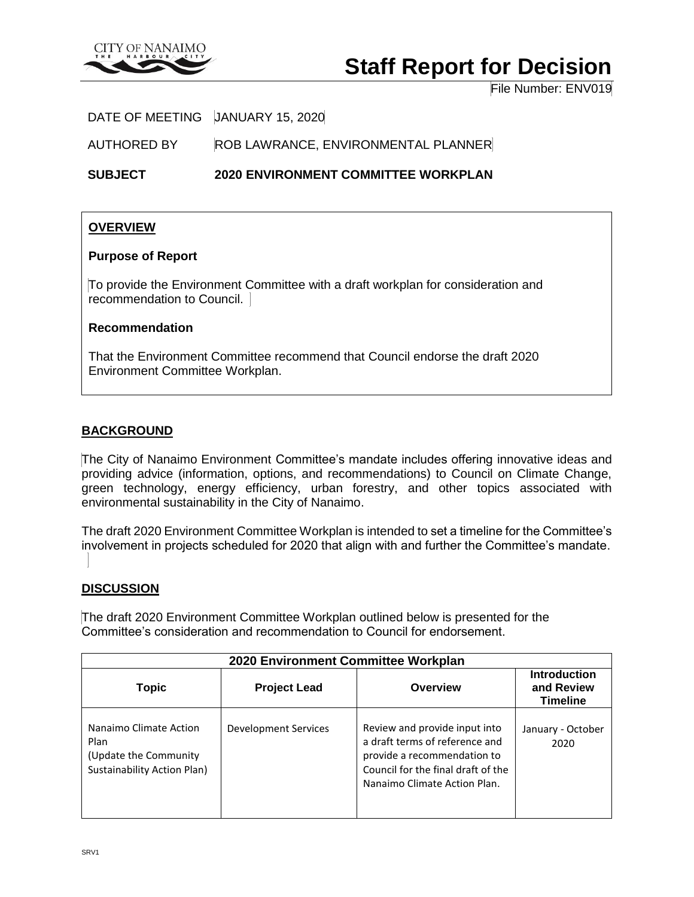

# **Staff Report for Decision**

File Number: ENV019

DATE OF MEETING JANUARY 15, 2020

AUTHORED BY ROB LAWRANCE, ENVIRONMENTAL PLANNER

**SUBJECT 2020 ENVIRONMENT COMMITTEE WORKPLAN**

### **OVERVIEW**

#### **Purpose of Report**

To provide the Environment Committee with a draft workplan for consideration and recommendation to Council.

#### **Recommendation**

That the Environment Committee recommend that Council endorse the draft 2020 Environment Committee Workplan.

#### **BACKGROUND**

The City of Nanaimo Environment Committee's mandate includes offering innovative ideas and providing advice (information, options, and recommendations) to Council on Climate Change, green technology, energy efficiency, urban forestry, and other topics associated with environmental sustainability in the City of Nanaimo.

The draft 2020 Environment Committee Workplan is intended to set a timeline for the Committee's involvement in projects scheduled for 2020 that align with and further the Committee's mandate.

#### **DISCUSSION**

The draft 2020 Environment Committee Workplan outlined below is presented for the Committee's consideration and recommendation to Council for endorsement.

| 2020 Environment Committee Workplan                                                            |                      |                                                                                                                                                                      |                                                      |  |  |
|------------------------------------------------------------------------------------------------|----------------------|----------------------------------------------------------------------------------------------------------------------------------------------------------------------|------------------------------------------------------|--|--|
| <b>Topic</b>                                                                                   | <b>Project Lead</b>  | Overview                                                                                                                                                             | <b>Introduction</b><br>and Review<br><b>Timeline</b> |  |  |
| Nanaimo Climate Action<br>Plan<br>(Update the Community)<br><b>Sustainability Action Plan)</b> | Development Services | Review and provide input into<br>a draft terms of reference and<br>provide a recommendation to<br>Council for the final draft of the<br>Nanaimo Climate Action Plan. | January - October<br>2020                            |  |  |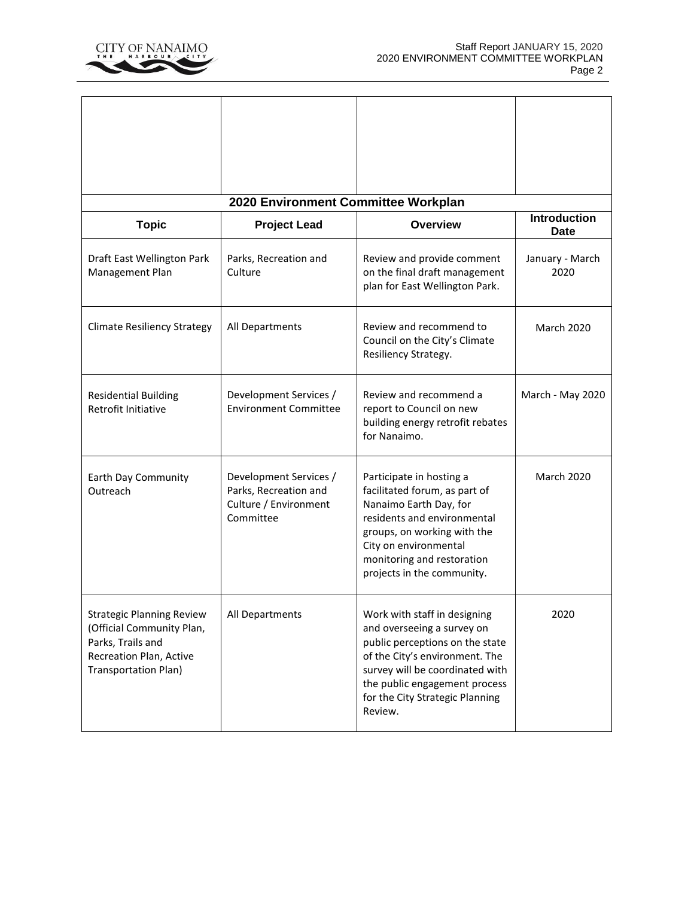

'n

| 2020 Environment Committee Workplan<br><b>Introduction</b>                                                                                   |                                                                                       |                                                                                                                                                                                                                                                   |                         |  |  |
|----------------------------------------------------------------------------------------------------------------------------------------------|---------------------------------------------------------------------------------------|---------------------------------------------------------------------------------------------------------------------------------------------------------------------------------------------------------------------------------------------------|-------------------------|--|--|
| <b>Topic</b>                                                                                                                                 | <b>Project Lead</b>                                                                   | Overview                                                                                                                                                                                                                                          | <b>Date</b>             |  |  |
| Draft East Wellington Park<br>Management Plan                                                                                                | Parks, Recreation and<br>Culture                                                      | Review and provide comment<br>on the final draft management<br>plan for East Wellington Park.                                                                                                                                                     | January - March<br>2020 |  |  |
| <b>Climate Resiliency Strategy</b>                                                                                                           | All Departments                                                                       | Review and recommend to<br>Council on the City's Climate<br>Resiliency Strategy.                                                                                                                                                                  | <b>March 2020</b>       |  |  |
| <b>Residential Building</b><br>Retrofit Initiative                                                                                           | Development Services /<br><b>Environment Committee</b>                                | Review and recommend a<br>report to Council on new<br>building energy retrofit rebates<br>for Nanaimo.                                                                                                                                            | March - May 2020        |  |  |
| Earth Day Community<br>Outreach                                                                                                              | Development Services /<br>Parks, Recreation and<br>Culture / Environment<br>Committee | Participate in hosting a<br>facilitated forum, as part of<br>Nanaimo Earth Day, for<br>residents and environmental<br>groups, on working with the<br>City on environmental<br>monitoring and restoration<br>projects in the community.            | <b>March 2020</b>       |  |  |
| <b>Strategic Planning Review</b><br>(Official Community Plan,<br>Parks, Trails and<br>Recreation Plan, Active<br><b>Transportation Plan)</b> | All Departments                                                                       | Work with staff in designing<br>and overseeing a survey on<br>public perceptions on the state<br>of the City's environment. The<br>survey will be coordinated with<br>the public engagement process<br>for the City Strategic Planning<br>Review. | 2020                    |  |  |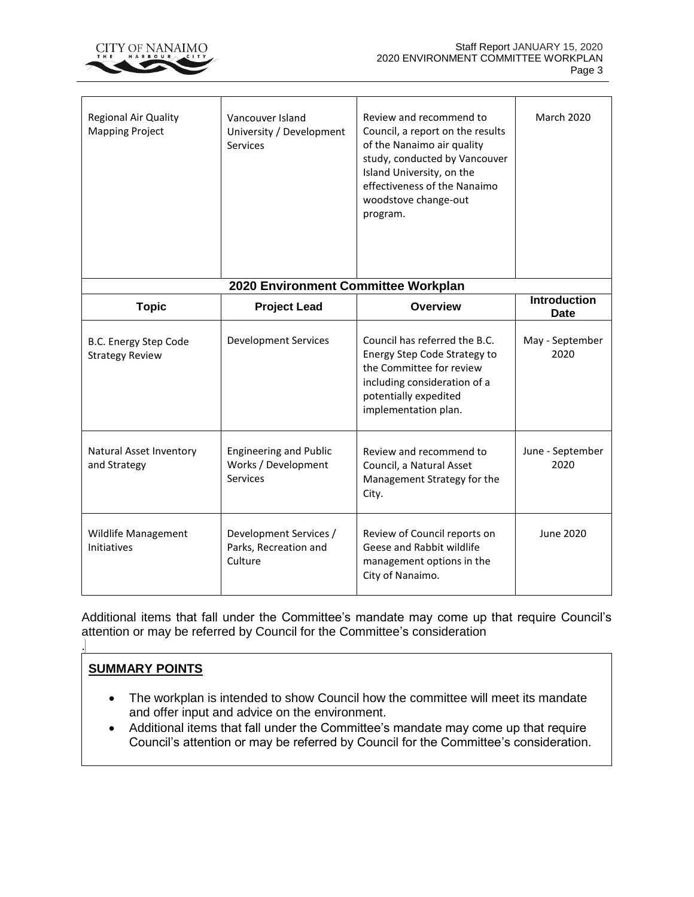

| Regional Air Quality<br><b>Mapping Project</b>  | Vancouver Island<br>University / Development<br><b>Services</b>         | Review and recommend to<br>Council, a report on the results<br>of the Nanaimo air quality<br>study, conducted by Vancouver<br>Island University, on the<br>effectiveness of the Nanaimo<br>woodstove change-out<br>program. | <b>March 2020</b>                  |  |  |
|-------------------------------------------------|-------------------------------------------------------------------------|-----------------------------------------------------------------------------------------------------------------------------------------------------------------------------------------------------------------------------|------------------------------------|--|--|
| 2020 Environment Committee Workplan             |                                                                         |                                                                                                                                                                                                                             |                                    |  |  |
| <b>Topic</b>                                    | <b>Project Lead</b>                                                     | <b>Overview</b>                                                                                                                                                                                                             | <b>Introduction</b><br><b>Date</b> |  |  |
| B.C. Energy Step Code<br><b>Strategy Review</b> | <b>Development Services</b>                                             | Council has referred the B.C.<br>Energy Step Code Strategy to<br>the Committee for review<br>including consideration of a<br>potentially expedited<br>implementation plan.                                                  | May - September<br>2020            |  |  |
| Natural Asset Inventory<br>and Strategy         | <b>Engineering and Public</b><br>Works / Development<br><b>Services</b> | Review and recommend to<br>Council, a Natural Asset<br>Management Strategy for the<br>City.                                                                                                                                 | June - September<br>2020           |  |  |
| Wildlife Management<br>Initiatives              | Development Services /<br>Parks, Recreation and<br>Culture              | Review of Council reports on<br>Geese and Rabbit wildlife<br>management options in the<br>City of Nanaimo.                                                                                                                  | June 2020                          |  |  |

Additional items that fall under the Committee's mandate may come up that require Council's attention or may be referred by Council for the Committee's consideration

## **SUMMARY POINTS**

.

- The workplan is intended to show Council how the committee will meet its mandate and offer input and advice on the environment.
- Additional items that fall under the Committee's mandate may come up that require Council's attention or may be referred by Council for the Committee's consideration.